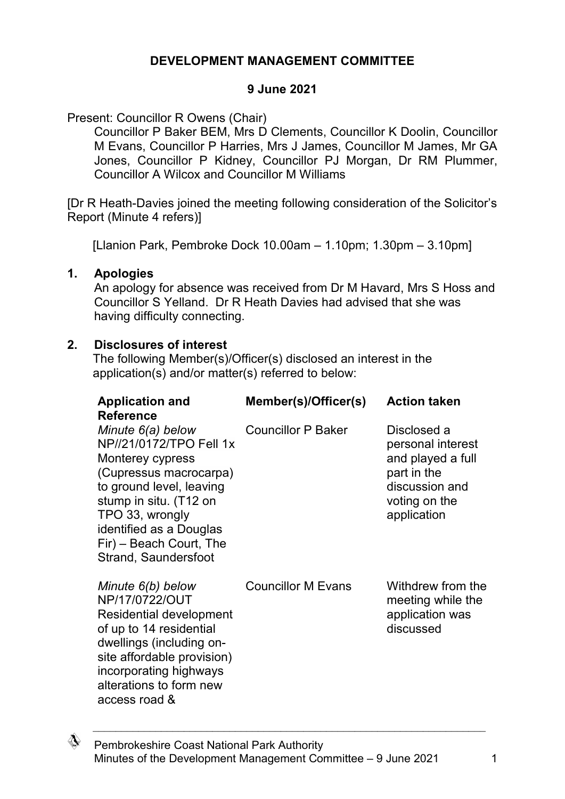## **DEVELOPMENT MANAGEMENT COMMITTEE**

### **9 June 2021**

Present: Councillor R Owens (Chair)

Councillor P Baker BEM, Mrs D Clements, Councillor K Doolin, Councillor M Evans, Councillor P Harries, Mrs J James, Councillor M James, Mr GA Jones, Councillor P Kidney, Councillor PJ Morgan, Dr RM Plummer, Councillor A Wilcox and Councillor M Williams

[Dr R Heath-Davies joined the meeting following consideration of the Solicitor's Report (Minute 4 refers)]

[Llanion Park, Pembroke Dock 10.00am – 1.10pm; 1.30pm – 3.10pm]

### **1. Apologies**

An apology for absence was received from Dr M Havard, Mrs S Hoss and Councillor S Yelland. Dr R Heath Davies had advised that she was having difficulty connecting.

### **2. Disclosures of interest**

The following Member(s)/Officer(s) disclosed an interest in the application(s) and/or matter(s) referred to below:

| <b>Application and</b><br><b>Reference</b>                                                                                                                                                                                                        | Member(s)/Officer(s)      | <b>Action taken</b>                                                                                                    |
|---------------------------------------------------------------------------------------------------------------------------------------------------------------------------------------------------------------------------------------------------|---------------------------|------------------------------------------------------------------------------------------------------------------------|
| Minute 6(a) below<br>NP//21/0172/TPO Fell 1x<br>Monterey cypress<br>(Cupressus macrocarpa)<br>to ground level, leaving<br>stump in situ. (T12 on<br>TPO 33, wrongly<br>identified as a Douglas<br>Fir) - Beach Court, The<br>Strand, Saundersfoot | <b>Councillor P Baker</b> | Disclosed a<br>personal interest<br>and played a full<br>part in the<br>discussion and<br>voting on the<br>application |
| Minute 6(b) below<br>NP/17/0722/OUT<br>Residential development<br>of up to 14 residential<br>dwellings (including on-<br>site affordable provision)<br>incorporating highways<br>alterations to form new<br>access road &                         | <b>Councillor M Evans</b> | Withdrew from the<br>meeting while the<br>application was<br>discussed                                                 |

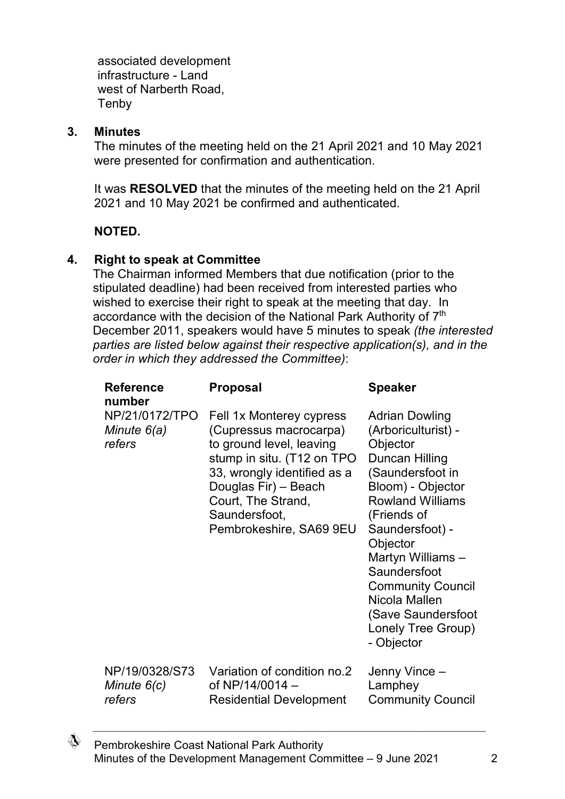associated development infrastructure - Land west of Narberth Road, Tenby

### **3. Minutes**

The minutes of the meeting held on the 21 April 2021 and 10 May 2021 were presented for confirmation and authentication.

It was **RESOLVED** that the minutes of the meeting held on the 21 April 2021 and 10 May 2021 be confirmed and authenticated.

## **NOTED.**

### **4. Right to speak at Committee**

The Chairman informed Members that due notification (prior to the stipulated deadline) had been received from interested parties who wished to exercise their right to speak at the meeting that day. In accordance with the decision of the National Park Authority of 7<sup>th</sup> December 2011, speakers would have 5 minutes to speak *(the interested parties are listed below against their respective application(s), and in the order in which they addressed the Committee)*:

| <b>Reference</b><br>number                | <b>Proposal</b>                                                                                                                                                                                                                       | <b>Speaker</b>                                                                                                                                                                                                                                                                                                                           |
|-------------------------------------------|---------------------------------------------------------------------------------------------------------------------------------------------------------------------------------------------------------------------------------------|------------------------------------------------------------------------------------------------------------------------------------------------------------------------------------------------------------------------------------------------------------------------------------------------------------------------------------------|
| NP/21/0172/TPO<br>Minute 6(a)<br>refers   | Fell 1x Monterey cypress<br>(Cupressus macrocarpa)<br>to ground level, leaving<br>stump in situ. (T12 on TPO<br>33, wrongly identified as a<br>Douglas Fir) - Beach<br>Court, The Strand,<br>Saundersfoot,<br>Pembrokeshire, SA69 9EU | <b>Adrian Dowling</b><br>(Arboriculturist) -<br>Objector<br>Duncan Hilling<br>(Saundersfoot in<br>Bloom) - Objector<br><b>Rowland Williams</b><br>(Friends of<br>Saundersfoot) -<br>Objector<br>Martyn Williams -<br>Saundersfoot<br><b>Community Council</b><br>Nicola Mallen<br>(Save Saundersfoot<br>Lonely Tree Group)<br>- Objector |
| NP/19/0328/S73<br>Minute $6(c)$<br>refers | Variation of condition no.2<br>of NP/14/0014 -<br><b>Residential Development</b>                                                                                                                                                      | Jenny Vince –<br>Lamphey<br><b>Community Council</b>                                                                                                                                                                                                                                                                                     |

♢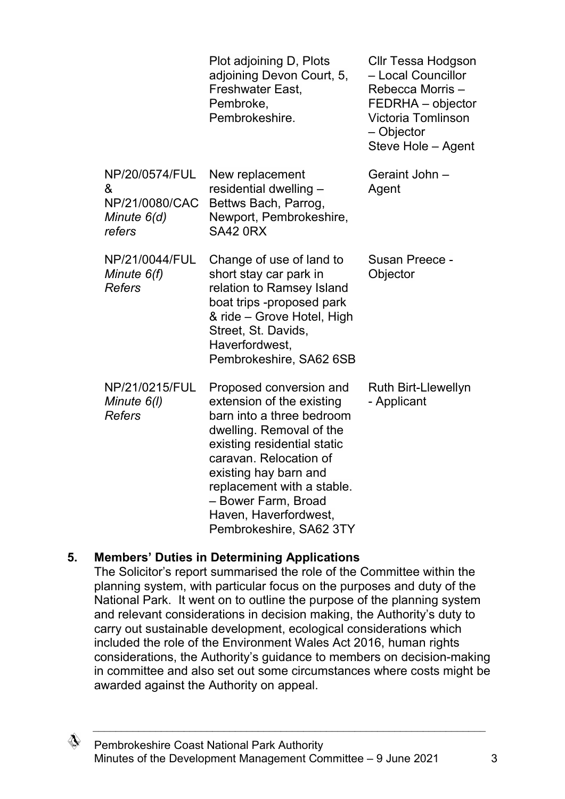|                                                                | Plot adjoining D, Plots<br>adjoining Devon Court, 5,<br>Freshwater East,<br>Pembroke,<br>Pembrokeshire.                                                                                                                                                                                                  | Cllr Tessa Hodgson<br>- Local Councillor<br>Rebecca Morris-<br>FEDRHA - objector<br>Victoria Tomlinson<br>- Objector<br>Steve Hole - Agent |
|----------------------------------------------------------------|----------------------------------------------------------------------------------------------------------------------------------------------------------------------------------------------------------------------------------------------------------------------------------------------------------|--------------------------------------------------------------------------------------------------------------------------------------------|
| NP/20/0574/FUL<br>&<br>NP/21/0080/CAC<br>Minute 6(d)<br>refers | New replacement<br>residential dwelling -<br>Bettws Bach, Parrog,<br>Newport, Pembrokeshire,<br><b>SA42 0RX</b>                                                                                                                                                                                          | Geraint John -<br>Agent                                                                                                                    |
| NP/21/0044/FUL<br>Minute $6(f)$<br><b>Refers</b>               | Change of use of land to<br>short stay car park in<br>relation to Ramsey Island<br>boat trips -proposed park<br>& ride – Grove Hotel, High<br>Street, St. Davids,<br>Haverfordwest,<br>Pembrokeshire, SA62 6SB                                                                                           | Susan Preece -<br>Objector                                                                                                                 |
| NP/21/0215/FUL<br>Minute 6(I)<br><b>Refers</b>                 | Proposed conversion and<br>extension of the existing<br>barn into a three bedroom<br>dwelling. Removal of the<br>existing residential static<br>caravan. Relocation of<br>existing hay barn and<br>replacement with a stable.<br>– Bower Farm, Broad<br>Haven, Haverfordwest,<br>Pembrokeshire, SA62 3TY | <b>Ruth Birt-Llewellyn</b><br>- Applicant                                                                                                  |

## **5. Members' Duties in Determining Applications**

The Solicitor's report summarised the role of the Committee within the planning system, with particular focus on the purposes and duty of the National Park. It went on to outline the purpose of the planning system and relevant considerations in decision making, the Authority's duty to carry out sustainable development, ecological considerations which included the role of the Environment Wales Act 2016, human rights considerations, the Authority's guidance to members on decision-making in committee and also set out some circumstances where costs might be awarded against the Authority on appeal.

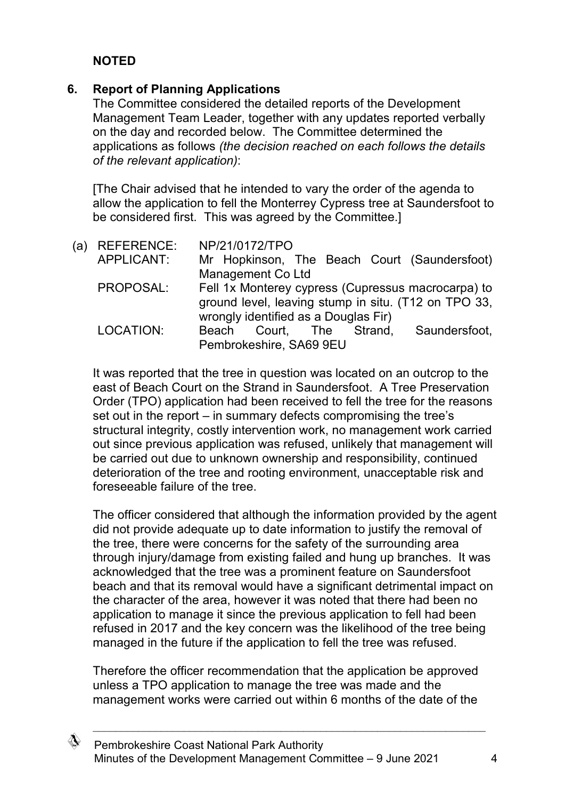# **NOTED**

# **6. Report of Planning Applications**

The Committee considered the detailed reports of the Development Management Team Leader, together with any updates reported verbally on the day and recorded below. The Committee determined the applications as follows *(the decision reached on each follows the details of the relevant application)*:

[The Chair advised that he intended to vary the order of the agenda to allow the application to fell the Monterrey Cypress tree at Saundersfoot to be considered first. This was agreed by the Committee.]

| 'a) | <b>REFERENCE:</b> |       | NP/21/0172/TPO                       |  |                                                      |
|-----|-------------------|-------|--------------------------------------|--|------------------------------------------------------|
|     | APPLICANT:        |       |                                      |  | Mr Hopkinson, The Beach Court (Saundersfoot)         |
|     |                   |       | Management Co Ltd                    |  |                                                      |
|     | PROPOSAL:         |       |                                      |  | Fell 1x Monterey cypress (Cupressus macrocarpa) to   |
|     |                   |       |                                      |  | ground level, leaving stump in situ. (T12 on TPO 33, |
|     |                   |       | wrongly identified as a Douglas Fir) |  |                                                      |
|     | LOCATION:         | Beach |                                      |  | Court, The Strand, Saundersfoot,                     |
|     |                   |       | Pembrokeshire, SA69 9EU              |  |                                                      |
|     |                   |       |                                      |  |                                                      |

It was reported that the tree in question was located on an outcrop to the east of Beach Court on the Strand in Saundersfoot. A Tree Preservation Order (TPO) application had been received to fell the tree for the reasons set out in the report – in summary defects compromising the tree's structural integrity, costly intervention work, no management work carried out since previous application was refused, unlikely that management will be carried out due to unknown ownership and responsibility, continued deterioration of the tree and rooting environment, unacceptable risk and foreseeable failure of the tree.

The officer considered that although the information provided by the agent did not provide adequate up to date information to justify the removal of the tree, there were concerns for the safety of the surrounding area through injury/damage from existing failed and hung up branches. It was acknowledged that the tree was a prominent feature on Saundersfoot beach and that its removal would have a significant detrimental impact on the character of the area, however it was noted that there had been no application to manage it since the previous application to fell had been refused in 2017 and the key concern was the likelihood of the tree being managed in the future if the application to fell the tree was refused.

Therefore the officer recommendation that the application be approved unless a TPO application to manage the tree was made and the management works were carried out within 6 months of the date of the

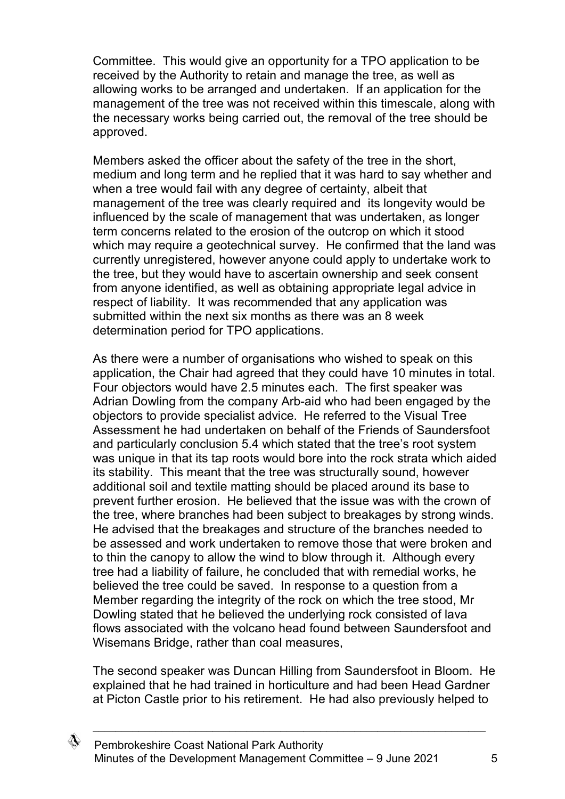Committee. This would give an opportunity for a TPO application to be received by the Authority to retain and manage the tree, as well as allowing works to be arranged and undertaken. If an application for the management of the tree was not received within this timescale, along with the necessary works being carried out, the removal of the tree should be approved.

Members asked the officer about the safety of the tree in the short, medium and long term and he replied that it was hard to say whether and when a tree would fail with any degree of certainty, albeit that management of the tree was clearly required and its longevity would be influenced by the scale of management that was undertaken, as longer term concerns related to the erosion of the outcrop on which it stood which may require a geotechnical survey. He confirmed that the land was currently unregistered, however anyone could apply to undertake work to the tree, but they would have to ascertain ownership and seek consent from anyone identified, as well as obtaining appropriate legal advice in respect of liability. It was recommended that any application was submitted within the next six months as there was an 8 week determination period for TPO applications.

As there were a number of organisations who wished to speak on this application, the Chair had agreed that they could have 10 minutes in total. Four objectors would have 2.5 minutes each. The first speaker was Adrian Dowling from the company Arb-aid who had been engaged by the objectors to provide specialist advice. He referred to the Visual Tree Assessment he had undertaken on behalf of the Friends of Saundersfoot and particularly conclusion 5.4 which stated that the tree's root system was unique in that its tap roots would bore into the rock strata which aided its stability. This meant that the tree was structurally sound, however additional soil and textile matting should be placed around its base to prevent further erosion. He believed that the issue was with the crown of the tree, where branches had been subject to breakages by strong winds. He advised that the breakages and structure of the branches needed to be assessed and work undertaken to remove those that were broken and to thin the canopy to allow the wind to blow through it. Although every tree had a liability of failure, he concluded that with remedial works, he believed the tree could be saved. In response to a question from a Member regarding the integrity of the rock on which the tree stood, Mr Dowling stated that he believed the underlying rock consisted of lava flows associated with the volcano head found between Saundersfoot and Wisemans Bridge, rather than coal measures,

The second speaker was Duncan Hilling from Saundersfoot in Bloom. He explained that he had trained in horticulture and had been Head Gardner at Picton Castle prior to his retirement. He had also previously helped to

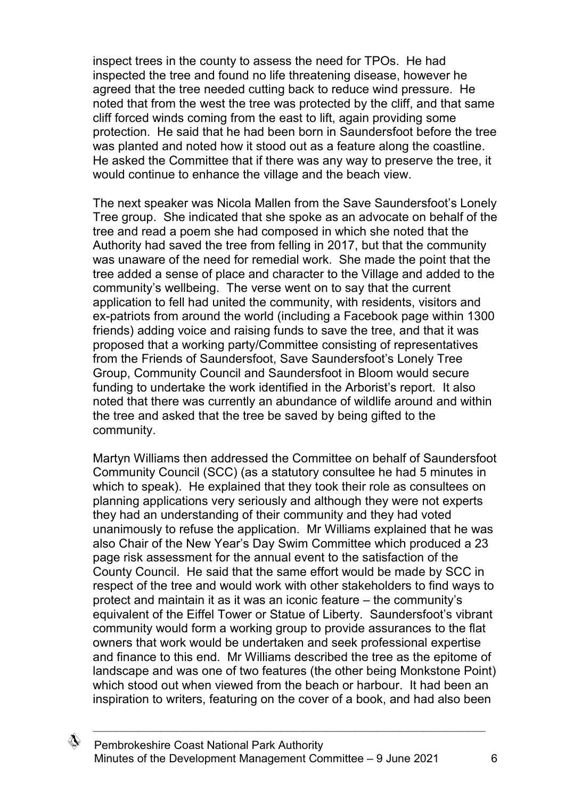inspect trees in the county to assess the need for TPOs. He had inspected the tree and found no life threatening disease, however he agreed that the tree needed cutting back to reduce wind pressure. He noted that from the west the tree was protected by the cliff, and that same cliff forced winds coming from the east to lift, again providing some protection. He said that he had been born in Saundersfoot before the tree was planted and noted how it stood out as a feature along the coastline. He asked the Committee that if there was any way to preserve the tree, it would continue to enhance the village and the beach view.

The next speaker was Nicola Mallen from the Save Saundersfoot's Lonely Tree group. She indicated that she spoke as an advocate on behalf of the tree and read a poem she had composed in which she noted that the Authority had saved the tree from felling in 2017, but that the community was unaware of the need for remedial work. She made the point that the tree added a sense of place and character to the Village and added to the community's wellbeing. The verse went on to say that the current application to fell had united the community, with residents, visitors and ex-patriots from around the world (including a Facebook page within 1300 friends) adding voice and raising funds to save the tree, and that it was proposed that a working party/Committee consisting of representatives from the Friends of Saundersfoot, Save Saundersfoot's Lonely Tree Group, Community Council and Saundersfoot in Bloom would secure funding to undertake the work identified in the Arborist's report. It also noted that there was currently an abundance of wildlife around and within the tree and asked that the tree be saved by being gifted to the community.

Martyn Williams then addressed the Committee on behalf of Saundersfoot Community Council (SCC) (as a statutory consultee he had 5 minutes in which to speak). He explained that they took their role as consultees on planning applications very seriously and although they were not experts they had an understanding of their community and they had voted unanimously to refuse the application. Mr Williams explained that he was also Chair of the New Year's Day Swim Committee which produced a 23 page risk assessment for the annual event to the satisfaction of the County Council. He said that the same effort would be made by SCC in respect of the tree and would work with other stakeholders to find ways to protect and maintain it as it was an iconic feature – the community's equivalent of the Eiffel Tower or Statue of Liberty. Saundersfoot's vibrant community would form a working group to provide assurances to the flat owners that work would be undertaken and seek professional expertise and finance to this end. Mr Williams described the tree as the epitome of landscape and was one of two features (the other being Monkstone Point) which stood out when viewed from the beach or harbour. It had been an inspiration to writers, featuring on the cover of a book, and had also been

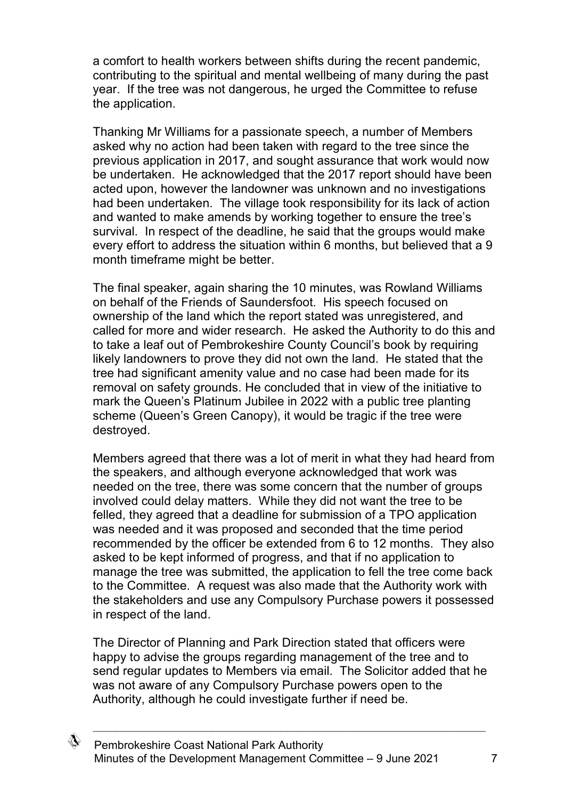a comfort to health workers between shifts during the recent pandemic, contributing to the spiritual and mental wellbeing of many during the past year. If the tree was not dangerous, he urged the Committee to refuse the application.

Thanking Mr Williams for a passionate speech, a number of Members asked why no action had been taken with regard to the tree since the previous application in 2017, and sought assurance that work would now be undertaken. He acknowledged that the 2017 report should have been acted upon, however the landowner was unknown and no investigations had been undertaken. The village took responsibility for its lack of action and wanted to make amends by working together to ensure the tree's survival. In respect of the deadline, he said that the groups would make every effort to address the situation within 6 months, but believed that a 9 month timeframe might be better.

The final speaker, again sharing the 10 minutes, was Rowland Williams on behalf of the Friends of Saundersfoot. His speech focused on ownership of the land which the report stated was unregistered, and called for more and wider research. He asked the Authority to do this and to take a leaf out of Pembrokeshire County Council's book by requiring likely landowners to prove they did not own the land. He stated that the tree had significant amenity value and no case had been made for its removal on safety grounds. He concluded that in view of the initiative to mark the Queen's Platinum Jubilee in 2022 with a public tree planting scheme (Queen's Green Canopy), it would be tragic if the tree were destroyed.

Members agreed that there was a lot of merit in what they had heard from the speakers, and although everyone acknowledged that work was needed on the tree, there was some concern that the number of groups involved could delay matters. While they did not want the tree to be felled, they agreed that a deadline for submission of a TPO application was needed and it was proposed and seconded that the time period recommended by the officer be extended from 6 to 12 months. They also asked to be kept informed of progress, and that if no application to manage the tree was submitted, the application to fell the tree come back to the Committee. A request was also made that the Authority work with the stakeholders and use any Compulsory Purchase powers it possessed in respect of the land.

The Director of Planning and Park Direction stated that officers were happy to advise the groups regarding management of the tree and to send regular updates to Members via email. The Solicitor added that he was not aware of any Compulsory Purchase powers open to the Authority, although he could investigate further if need be.

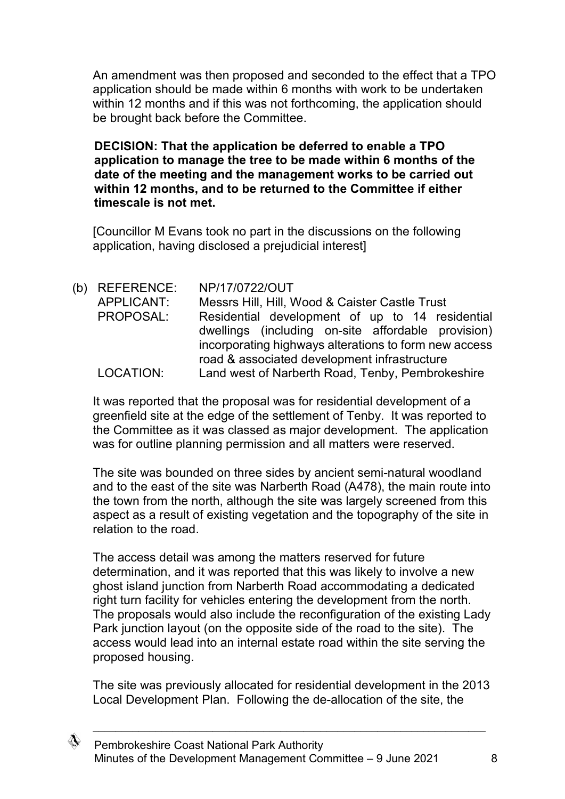An amendment was then proposed and seconded to the effect that a TPO application should be made within 6 months with work to be undertaken within 12 months and if this was not forthcoming, the application should be brought back before the Committee.

**DECISION: That the application be deferred to enable a TPO application to manage the tree to be made within 6 months of the date of the meeting and the management works to be carried out within 12 months, and to be returned to the Committee if either timescale is not met.** 

[Councillor M Evans took no part in the discussions on the following application, having disclosed a prejudicial interest]

(b) REFERENCE: NP/17/0722/OUT APPLICANT: Messrs Hill, Hill, Wood & Caister Castle Trust PROPOSAL: Residential development of up to 14 residential dwellings (including on-site affordable provision) incorporating highways alterations to form new access road & associated development infrastructure LOCATION: Land west of Narberth Road, Tenby, Pembrokeshire

It was reported that the proposal was for residential development of a greenfield site at the edge of the settlement of Tenby. It was reported to the Committee as it was classed as major development. The application was for outline planning permission and all matters were reserved.

The site was bounded on three sides by ancient semi-natural woodland and to the east of the site was Narberth Road (A478), the main route into the town from the north, although the site was largely screened from this aspect as a result of existing vegetation and the topography of the site in relation to the road.

The access detail was among the matters reserved for future determination, and it was reported that this was likely to involve a new ghost island junction from Narberth Road accommodating a dedicated right turn facility for vehicles entering the development from the north. The proposals would also include the reconfiguration of the existing Lady Park junction layout (on the opposite side of the road to the site). The access would lead into an internal estate road within the site serving the proposed housing.

The site was previously allocated for residential development in the 2013 Local Development Plan. Following the de-allocation of the site, the

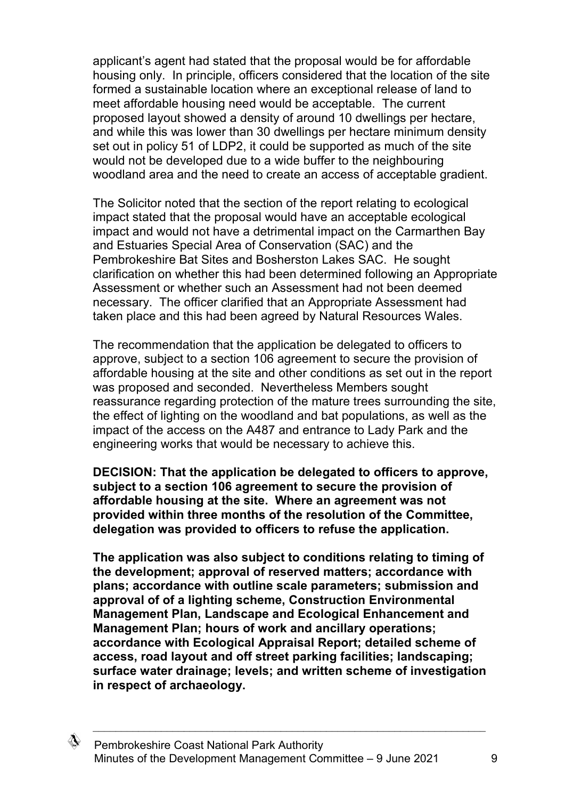applicant's agent had stated that the proposal would be for affordable housing only. In principle, officers considered that the location of the site formed a sustainable location where an exceptional release of land to meet affordable housing need would be acceptable. The current proposed layout showed a density of around 10 dwellings per hectare, and while this was lower than 30 dwellings per hectare minimum density set out in policy 51 of LDP2, it could be supported as much of the site would not be developed due to a wide buffer to the neighbouring woodland area and the need to create an access of acceptable gradient.

The Solicitor noted that the section of the report relating to ecological impact stated that the proposal would have an acceptable ecological impact and would not have a detrimental impact on the Carmarthen Bay and Estuaries Special Area of Conservation (SAC) and the Pembrokeshire Bat Sites and Bosherston Lakes SAC. He sought clarification on whether this had been determined following an Appropriate Assessment or whether such an Assessment had not been deemed necessary. The officer clarified that an Appropriate Assessment had taken place and this had been agreed by Natural Resources Wales.

The recommendation that the application be delegated to officers to approve, subject to a section 106 agreement to secure the provision of affordable housing at the site and other conditions as set out in the report was proposed and seconded. Nevertheless Members sought reassurance regarding protection of the mature trees surrounding the site, the effect of lighting on the woodland and bat populations, as well as the impact of the access on the A487 and entrance to Lady Park and the engineering works that would be necessary to achieve this.

**DECISION: That the application be delegated to officers to approve, subject to a section 106 agreement to secure the provision of affordable housing at the site. Where an agreement was not provided within three months of the resolution of the Committee, delegation was provided to officers to refuse the application.**

**The application was also subject to conditions relating to timing of the development; approval of reserved matters; accordance with plans; accordance with outline scale parameters; submission and approval of of a lighting scheme, Construction Environmental Management Plan, Landscape and Ecological Enhancement and Management Plan; hours of work and ancillary operations; accordance with Ecological Appraisal Report; detailed scheme of access, road layout and off street parking facilities; landscaping; surface water drainage; levels; and written scheme of investigation in respect of archaeology.**

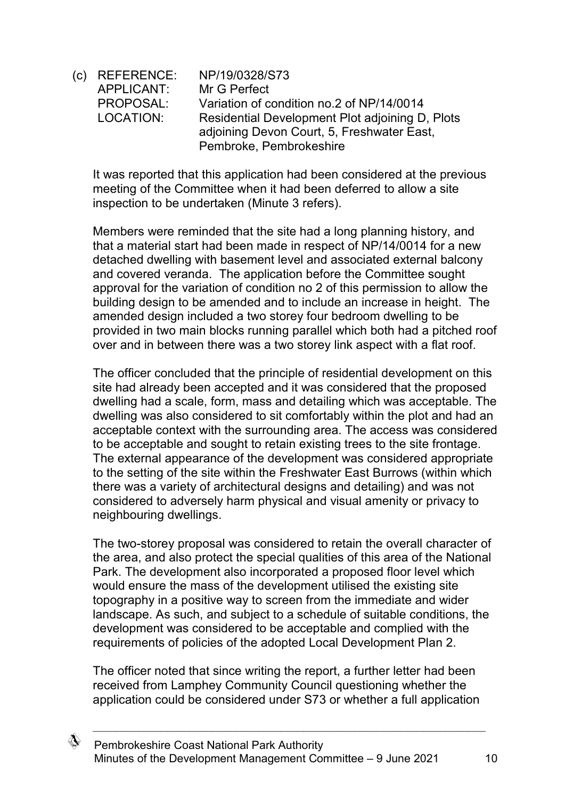(c) REFERENCE: NP/19/0328/S73 APPLICANT: Mr G Perfect PROPOSAL: Variation of condition no.2 of NP/14/0014 LOCATION: Residential Development Plot adjoining D, Plots adjoining Devon Court, 5, Freshwater East, Pembroke, Pembrokeshire

It was reported that this application had been considered at the previous meeting of the Committee when it had been deferred to allow a site inspection to be undertaken (Minute 3 refers).

Members were reminded that the site had a long planning history, and that a material start had been made in respect of NP/14/0014 for a new detached dwelling with basement level and associated external balcony and covered veranda. The application before the Committee sought approval for the variation of condition no 2 of this permission to allow the building design to be amended and to include an increase in height. The amended design included a two storey four bedroom dwelling to be provided in two main blocks running parallel which both had a pitched roof over and in between there was a two storey link aspect with a flat roof.

The officer concluded that the principle of residential development on this site had already been accepted and it was considered that the proposed dwelling had a scale, form, mass and detailing which was acceptable. The dwelling was also considered to sit comfortably within the plot and had an acceptable context with the surrounding area. The access was considered to be acceptable and sought to retain existing trees to the site frontage. The external appearance of the development was considered appropriate to the setting of the site within the Freshwater East Burrows (within which there was a variety of architectural designs and detailing) and was not considered to adversely harm physical and visual amenity or privacy to neighbouring dwellings.

The two-storey proposal was considered to retain the overall character of the area, and also protect the special qualities of this area of the National Park. The development also incorporated a proposed floor level which would ensure the mass of the development utilised the existing site topography in a positive way to screen from the immediate and wider landscape. As such, and subject to a schedule of suitable conditions, the development was considered to be acceptable and complied with the requirements of policies of the adopted Local Development Plan 2.

The officer noted that since writing the report, a further letter had been received from Lamphey Community Council questioning whether the application could be considered under S73 or whether a full application

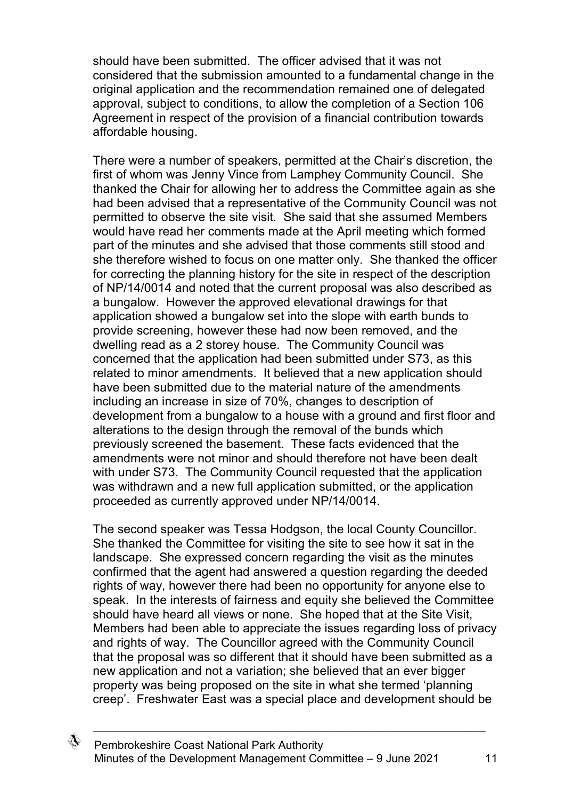should have been submitted. The officer advised that it was not considered that the submission amounted to a fundamental change in the original application and the recommendation remained one of delegated approval, subject to conditions, to allow the completion of a Section 106 Agreement in respect of the provision of a financial contribution towards affordable housing.

There were a number of speakers, permitted at the Chair's discretion, the first of whom was Jenny Vince from Lamphey Community Council. She thanked the Chair for allowing her to address the Committee again as she had been advised that a representative of the Community Council was not permitted to observe the site visit. She said that she assumed Members would have read her comments made at the April meeting which formed part of the minutes and she advised that those comments still stood and she therefore wished to focus on one matter only. She thanked the officer for correcting the planning history for the site in respect of the description of NP/14/0014 and noted that the current proposal was also described as a bungalow. However the approved elevational drawings for that application showed a bungalow set into the slope with earth bunds to provide screening, however these had now been removed, and the dwelling read as a 2 storey house. The Community Council was concerned that the application had been submitted under S73, as this related to minor amendments. It believed that a new application should have been submitted due to the material nature of the amendments including an increase in size of 70%, changes to description of development from a bungalow to a house with a ground and first floor and alterations to the design through the removal of the bunds which previously screened the basement. These facts evidenced that the amendments were not minor and should therefore not have been dealt with under S73. The Community Council requested that the application was withdrawn and a new full application submitted, or the application proceeded as currently approved under NP/14/0014.

The second speaker was Tessa Hodgson, the local County Councillor. She thanked the Committee for visiting the site to see how it sat in the landscape. She expressed concern regarding the visit as the minutes confirmed that the agent had answered a question regarding the deeded rights of way, however there had been no opportunity for anyone else to speak. In the interests of fairness and equity she believed the Committee should have heard all views or none. She hoped that at the Site Visit, Members had been able to appreciate the issues regarding loss of privacy and rights of way. The Councillor agreed with the Community Council that the proposal was so different that it should have been submitted as a new application and not a variation; she believed that an ever bigger property was being proposed on the site in what she termed 'planning creep'. Freshwater East was a special place and development should be

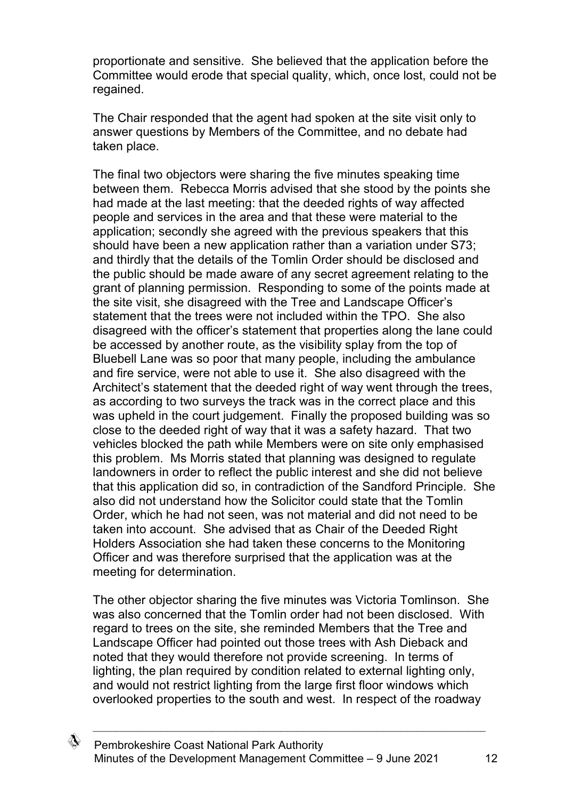proportionate and sensitive. She believed that the application before the Committee would erode that special quality, which, once lost, could not be regained.

The Chair responded that the agent had spoken at the site visit only to answer questions by Members of the Committee, and no debate had taken place.

The final two objectors were sharing the five minutes speaking time between them. Rebecca Morris advised that she stood by the points she had made at the last meeting: that the deeded rights of way affected people and services in the area and that these were material to the application; secondly she agreed with the previous speakers that this should have been a new application rather than a variation under S73; and thirdly that the details of the Tomlin Order should be disclosed and the public should be made aware of any secret agreement relating to the grant of planning permission. Responding to some of the points made at the site visit, she disagreed with the Tree and Landscape Officer's statement that the trees were not included within the TPO. She also disagreed with the officer's statement that properties along the lane could be accessed by another route, as the visibility splay from the top of Bluebell Lane was so poor that many people, including the ambulance and fire service, were not able to use it. She also disagreed with the Architect's statement that the deeded right of way went through the trees, as according to two surveys the track was in the correct place and this was upheld in the court judgement. Finally the proposed building was so close to the deeded right of way that it was a safety hazard. That two vehicles blocked the path while Members were on site only emphasised this problem. Ms Morris stated that planning was designed to regulate landowners in order to reflect the public interest and she did not believe that this application did so, in contradiction of the Sandford Principle. She also did not understand how the Solicitor could state that the Tomlin Order, which he had not seen, was not material and did not need to be taken into account. She advised that as Chair of the Deeded Right Holders Association she had taken these concerns to the Monitoring Officer and was therefore surprised that the application was at the meeting for determination.

The other objector sharing the five minutes was Victoria Tomlinson. She was also concerned that the Tomlin order had not been disclosed. With regard to trees on the site, she reminded Members that the Tree and Landscape Officer had pointed out those trees with Ash Dieback and noted that they would therefore not provide screening. In terms of lighting, the plan required by condition related to external lighting only, and would not restrict lighting from the large first floor windows which overlooked properties to the south and west. In respect of the roadway

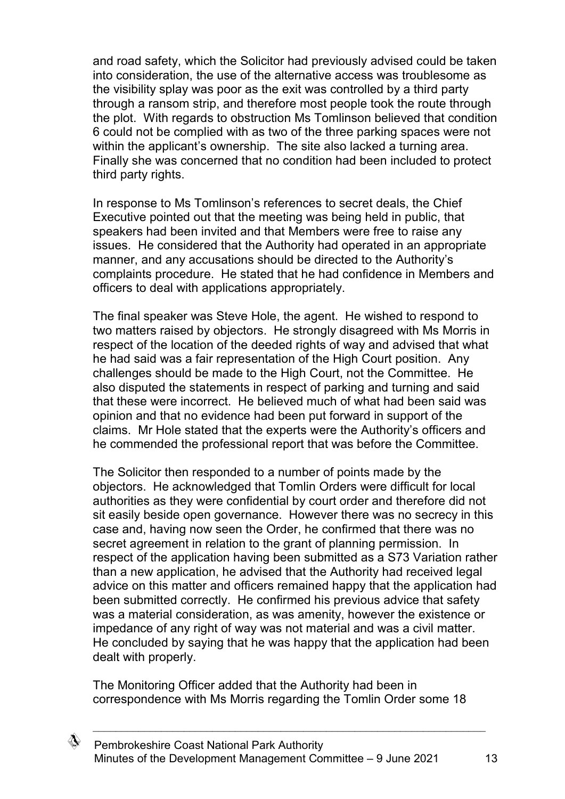and road safety, which the Solicitor had previously advised could be taken into consideration, the use of the alternative access was troublesome as the visibility splay was poor as the exit was controlled by a third party through a ransom strip, and therefore most people took the route through the plot. With regards to obstruction Ms Tomlinson believed that condition 6 could not be complied with as two of the three parking spaces were not within the applicant's ownership. The site also lacked a turning area. Finally she was concerned that no condition had been included to protect third party rights.

In response to Ms Tomlinson's references to secret deals, the Chief Executive pointed out that the meeting was being held in public, that speakers had been invited and that Members were free to raise any issues. He considered that the Authority had operated in an appropriate manner, and any accusations should be directed to the Authority's complaints procedure. He stated that he had confidence in Members and officers to deal with applications appropriately.

The final speaker was Steve Hole, the agent. He wished to respond to two matters raised by objectors. He strongly disagreed with Ms Morris in respect of the location of the deeded rights of way and advised that what he had said was a fair representation of the High Court position. Any challenges should be made to the High Court, not the Committee. He also disputed the statements in respect of parking and turning and said that these were incorrect. He believed much of what had been said was opinion and that no evidence had been put forward in support of the claims. Mr Hole stated that the experts were the Authority's officers and he commended the professional report that was before the Committee.

The Solicitor then responded to a number of points made by the objectors. He acknowledged that Tomlin Orders were difficult for local authorities as they were confidential by court order and therefore did not sit easily beside open governance. However there was no secrecy in this case and, having now seen the Order, he confirmed that there was no secret agreement in relation to the grant of planning permission. In respect of the application having been submitted as a S73 Variation rather than a new application, he advised that the Authority had received legal advice on this matter and officers remained happy that the application had been submitted correctly. He confirmed his previous advice that safety was a material consideration, as was amenity, however the existence or impedance of any right of way was not material and was a civil matter. He concluded by saying that he was happy that the application had been dealt with properly.

The Monitoring Officer added that the Authority had been in correspondence with Ms Morris regarding the Tomlin Order some 18

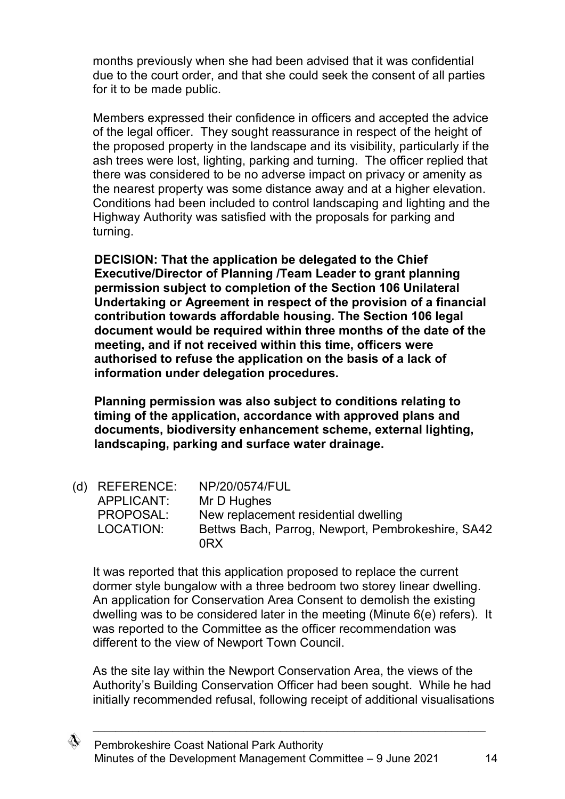months previously when she had been advised that it was confidential due to the court order, and that she could seek the consent of all parties for it to be made public.

Members expressed their confidence in officers and accepted the advice of the legal officer. They sought reassurance in respect of the height of the proposed property in the landscape and its visibility, particularly if the ash trees were lost, lighting, parking and turning. The officer replied that there was considered to be no adverse impact on privacy or amenity as the nearest property was some distance away and at a higher elevation. Conditions had been included to control landscaping and lighting and the Highway Authority was satisfied with the proposals for parking and turning.

**DECISION: That the application be delegated to the Chief Executive/Director of Planning /Team Leader to grant planning permission subject to completion of the Section 106 Unilateral Undertaking or Agreement in respect of the provision of a financial contribution towards affordable housing. The Section 106 legal document would be required within three months of the date of the meeting, and if not received within this time, officers were authorised to refuse the application on the basis of a lack of information under delegation procedures.**

**Planning permission was also subject to conditions relating to timing of the application, accordance with approved plans and documents, biodiversity enhancement scheme, external lighting, landscaping, parking and surface water drainage.**

| (d) REFERENCE: | NP/20/0574/FUL                                    |
|----------------|---------------------------------------------------|
| APPLICANT:     | Mr D Hughes                                       |
| PROPOSAL:      | New replacement residential dwelling              |
| LOCATION:      | Bettws Bach, Parrog, Newport, Pembrokeshire, SA42 |
|                | 0RX                                               |

It was reported that this application proposed to replace the current dormer style bungalow with a three bedroom two storey linear dwelling. An application for Conservation Area Consent to demolish the existing dwelling was to be considered later in the meeting (Minute 6(e) refers). It was reported to the Committee as the officer recommendation was different to the view of Newport Town Council.

As the site lay within the Newport Conservation Area, the views of the Authority's Building Conservation Officer had been sought. While he had initially recommended refusal, following receipt of additional visualisations

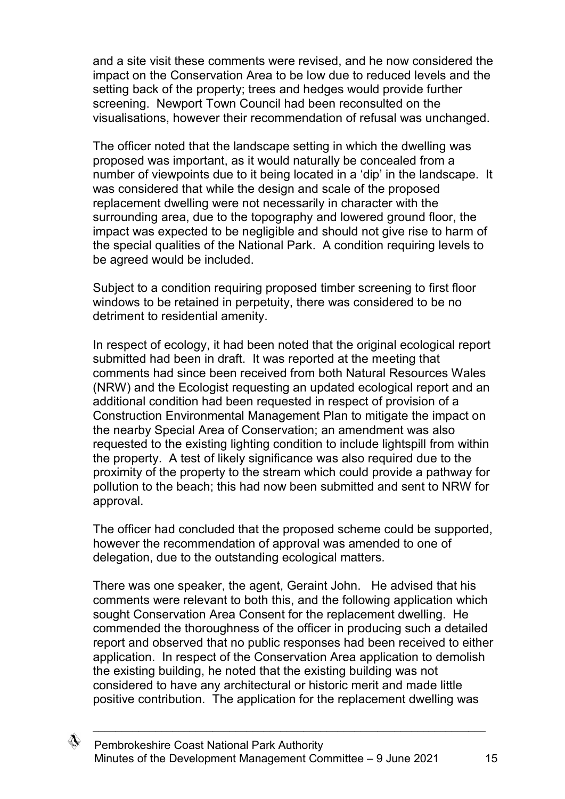and a site visit these comments were revised, and he now considered the impact on the Conservation Area to be low due to reduced levels and the setting back of the property; trees and hedges would provide further screening. Newport Town Council had been reconsulted on the visualisations, however their recommendation of refusal was unchanged.

The officer noted that the landscape setting in which the dwelling was proposed was important, as it would naturally be concealed from a number of viewpoints due to it being located in a 'dip' in the landscape. It was considered that while the design and scale of the proposed replacement dwelling were not necessarily in character with the surrounding area, due to the topography and lowered ground floor, the impact was expected to be negligible and should not give rise to harm of the special qualities of the National Park. A condition requiring levels to be agreed would be included.

Subject to a condition requiring proposed timber screening to first floor windows to be retained in perpetuity, there was considered to be no detriment to residential amenity.

In respect of ecology, it had been noted that the original ecological report submitted had been in draft. It was reported at the meeting that comments had since been received from both Natural Resources Wales (NRW) and the Ecologist requesting an updated ecological report and an additional condition had been requested in respect of provision of a Construction Environmental Management Plan to mitigate the impact on the nearby Special Area of Conservation; an amendment was also requested to the existing lighting condition to include lightspill from within the property. A test of likely significance was also required due to the proximity of the property to the stream which could provide a pathway for pollution to the beach; this had now been submitted and sent to NRW for approval.

The officer had concluded that the proposed scheme could be supported, however the recommendation of approval was amended to one of delegation, due to the outstanding ecological matters.

There was one speaker, the agent, Geraint John. He advised that his comments were relevant to both this, and the following application which sought Conservation Area Consent for the replacement dwelling. He commended the thoroughness of the officer in producing such a detailed report and observed that no public responses had been received to either application. In respect of the Conservation Area application to demolish the existing building, he noted that the existing building was not considered to have any architectural or historic merit and made little positive contribution. The application for the replacement dwelling was

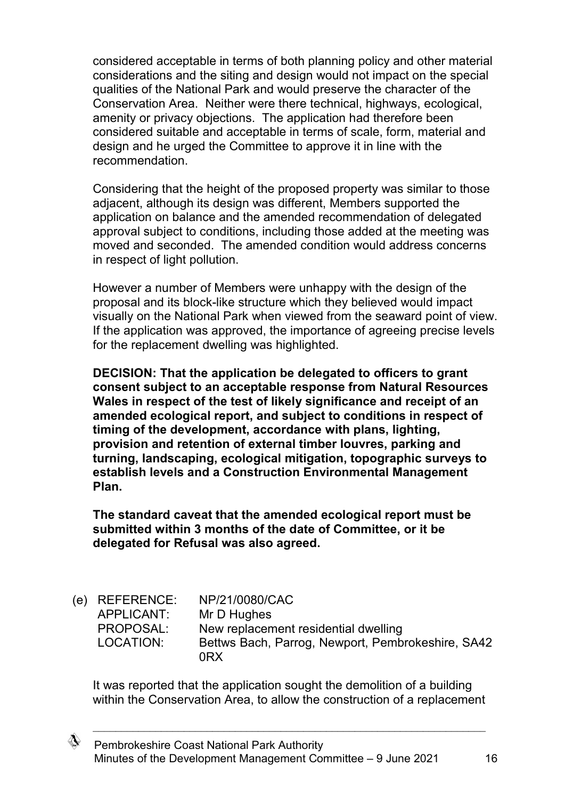considered acceptable in terms of both planning policy and other material considerations and the siting and design would not impact on the special qualities of the National Park and would preserve the character of the Conservation Area. Neither were there technical, highways, ecological, amenity or privacy objections. The application had therefore been considered suitable and acceptable in terms of scale, form, material and design and he urged the Committee to approve it in line with the recommendation.

Considering that the height of the proposed property was similar to those adjacent, although its design was different, Members supported the application on balance and the amended recommendation of delegated approval subject to conditions, including those added at the meeting was moved and seconded. The amended condition would address concerns in respect of light pollution.

However a number of Members were unhappy with the design of the proposal and its block-like structure which they believed would impact visually on the National Park when viewed from the seaward point of view. If the application was approved, the importance of agreeing precise levels for the replacement dwelling was highlighted.

**DECISION: That the application be delegated to officers to grant consent subject to an acceptable response from Natural Resources Wales in respect of the test of likely significance and receipt of an amended ecological report, and subject to conditions in respect of timing of the development, accordance with plans, lighting, provision and retention of external timber louvres, parking and turning, landscaping, ecological mitigation, topographic surveys to establish levels and a Construction Environmental Management Plan.**

**The standard caveat that the amended ecological report must be submitted within 3 months of the date of Committee, or it be delegated for Refusal was also agreed.** 

| (e) REFERENCE: | NP/21/0080/CAC                                    |
|----------------|---------------------------------------------------|
| APPLICANT:     | Mr D Hughes                                       |
| PROPOSAL:      | New replacement residential dwelling              |
| LOCATION:      | Bettws Bach, Parrog, Newport, Pembrokeshire, SA42 |
|                | 0RX                                               |

It was reported that the application sought the demolition of a building within the Conservation Area, to allow the construction of a replacement

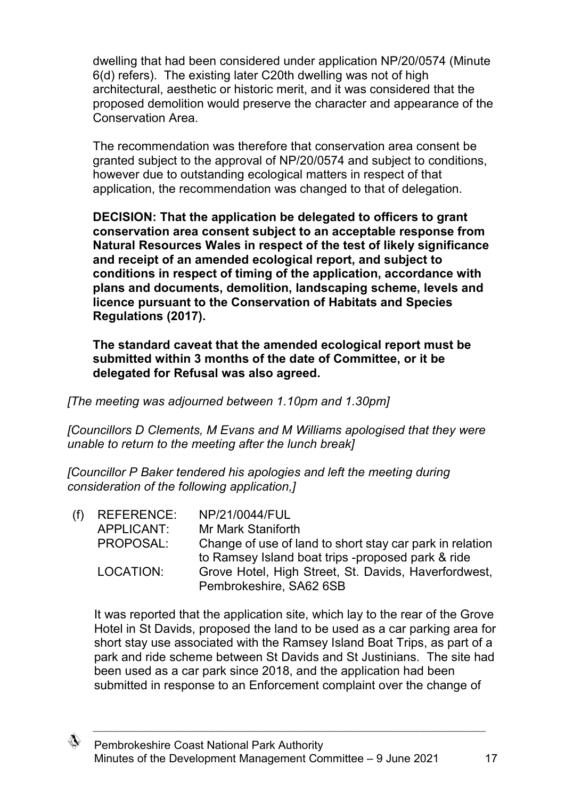dwelling that had been considered under application NP/20/0574 (Minute 6(d) refers). The existing later C20th dwelling was not of high architectural, aesthetic or historic merit, and it was considered that the proposed demolition would preserve the character and appearance of the Conservation Area.

The recommendation was therefore that conservation area consent be granted subject to the approval of NP/20/0574 and subject to conditions, however due to outstanding ecological matters in respect of that application, the recommendation was changed to that of delegation.

**DECISION: That the application be delegated to officers to grant conservation area consent subject to an acceptable response from Natural Resources Wales in respect of the test of likely significance and receipt of an amended ecological report, and subject to conditions in respect of timing of the application, accordance with plans and documents, demolition, landscaping scheme, levels and licence pursuant to the Conservation of Habitats and Species Regulations (2017).**

**The standard caveat that the amended ecological report must be submitted within 3 months of the date of Committee, or it be delegated for Refusal was also agreed.** 

*[The meeting was adjourned between 1.10pm and 1.30pm]*

*[Councillors D Clements, M Evans and M Williams apologised that they were unable to return to the meeting after the lunch break]*

*[Councillor P Baker tendered his apologies and left the meeting during consideration of the following application,]*

| $(f)$ REFERENCE: | NP/21/0044/FUL                                           |
|------------------|----------------------------------------------------------|
| APPLICANT:       | Mr Mark Staniforth                                       |
| PROPOSAL:        | Change of use of land to short stay car park in relation |
|                  | to Ramsey Island boat trips -proposed park & ride        |
| LOCATION:        | Grove Hotel, High Street, St. Davids, Haverfordwest,     |
|                  | Pembrokeshire, SA62 6SB                                  |
|                  |                                                          |

It was reported that the application site, which lay to the rear of the Grove Hotel in St Davids, proposed the land to be used as a car parking area for short stay use associated with the Ramsey Island Boat Trips, as part of a park and ride scheme between St Davids and St Justinians. The site had been used as a car park since 2018, and the application had been submitted in response to an Enforcement complaint over the change of

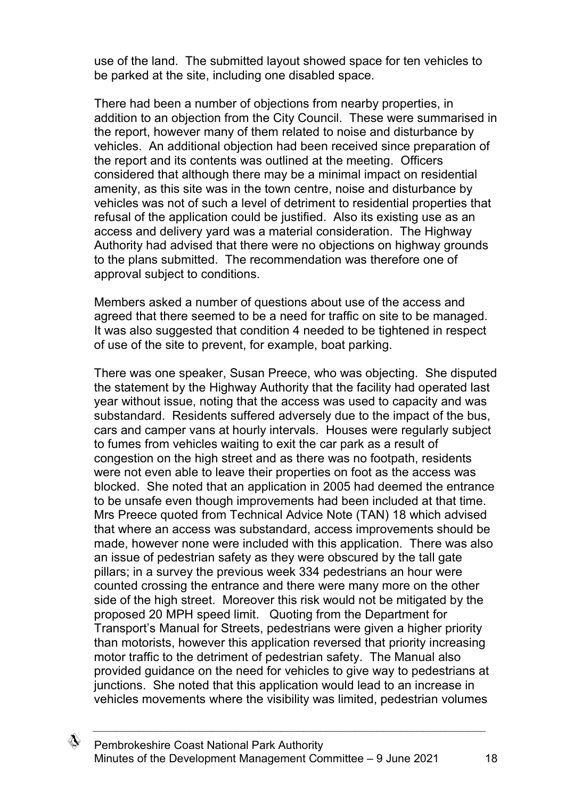use of the land. The submitted layout showed space for ten vehicles to be parked at the site, including one disabled space.

There had been a number of objections from nearby properties, in addition to an objection from the City Council. These were summarised in the report, however many of them related to noise and disturbance by vehicles. An additional objection had been received since preparation of the report and its contents was outlined at the meeting. Officers considered that although there may be a minimal impact on residential amenity, as this site was in the town centre, noise and disturbance by vehicles was not of such a level of detriment to residential properties that refusal of the application could be justified. Also its existing use as an access and delivery yard was a material consideration. The Highway Authority had advised that there were no objections on highway grounds to the plans submitted. The recommendation was therefore one of approval subject to conditions.

Members asked a number of questions about use of the access and agreed that there seemed to be a need for traffic on site to be managed. It was also suggested that condition 4 needed to be tightened in respect of use of the site to prevent, for example, boat parking.

There was one speaker, Susan Preece, who was objecting. She disputed the statement by the Highway Authority that the facility had operated last year without issue, noting that the access was used to capacity and was substandard. Residents suffered adversely due to the impact of the bus, cars and camper vans at hourly intervals. Houses were regularly subject to fumes from vehicles waiting to exit the car park as a result of congestion on the high street and as there was no footpath, residents were not even able to leave their properties on foot as the access was blocked. She noted that an application in 2005 had deemed the entrance to be unsafe even though improvements had been included at that time. Mrs Preece quoted from Technical Advice Note (TAN) 18 which advised that where an access was substandard, access improvements should be made, however none were included with this application. There was also an issue of pedestrian safety as they were obscured by the tall gate pillars; in a survey the previous week 334 pedestrians an hour were counted crossing the entrance and there were many more on the other side of the high street. Moreover this risk would not be mitigated by the proposed 20 MPH speed limit. Quoting from the Department for Transport's Manual for Streets, pedestrians were given a higher priority than motorists, however this application reversed that priority increasing motor traffic to the detriment of pedestrian safety. The Manual also provided guidance on the need for vehicles to give way to pedestrians at junctions. She noted that this application would lead to an increase in vehicles movements where the visibility was limited, pedestrian volumes

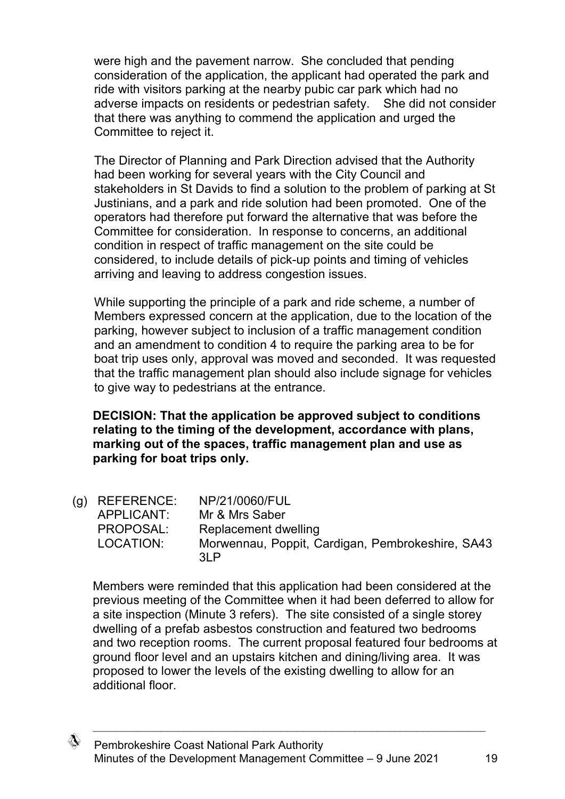were high and the pavement narrow. She concluded that pending consideration of the application, the applicant had operated the park and ride with visitors parking at the nearby pubic car park which had no adverse impacts on residents or pedestrian safety. She did not consider that there was anything to commend the application and urged the Committee to reject it.

The Director of Planning and Park Direction advised that the Authority had been working for several years with the City Council and stakeholders in St Davids to find a solution to the problem of parking at St Justinians, and a park and ride solution had been promoted. One of the operators had therefore put forward the alternative that was before the Committee for consideration. In response to concerns, an additional condition in respect of traffic management on the site could be considered, to include details of pick-up points and timing of vehicles arriving and leaving to address congestion issues.

While supporting the principle of a park and ride scheme, a number of Members expressed concern at the application, due to the location of the parking, however subject to inclusion of a traffic management condition and an amendment to condition 4 to require the parking area to be for boat trip uses only, approval was moved and seconded. It was requested that the traffic management plan should also include signage for vehicles to give way to pedestrians at the entrance.

**DECISION: That the application be approved subject to conditions relating to the timing of the development, accordance with plans, marking out of the spaces, traffic management plan and use as parking for boat trips only.**

(g) REFERENCE: NP/21/0060/FUL APPLICANT: Mr & Mrs Saber PROPOSAL: Replacement dwelling LOCATION: Morwennau, Poppit, Cardigan, Pembrokeshire, SA43 3LP

Members were reminded that this application had been considered at the previous meeting of the Committee when it had been deferred to allow for a site inspection (Minute 3 refers). The site consisted of a single storey dwelling of a prefab asbestos construction and featured two bedrooms and two reception rooms. The current proposal featured four bedrooms at ground floor level and an upstairs kitchen and dining/living area. It was proposed to lower the levels of the existing dwelling to allow for an additional floor.

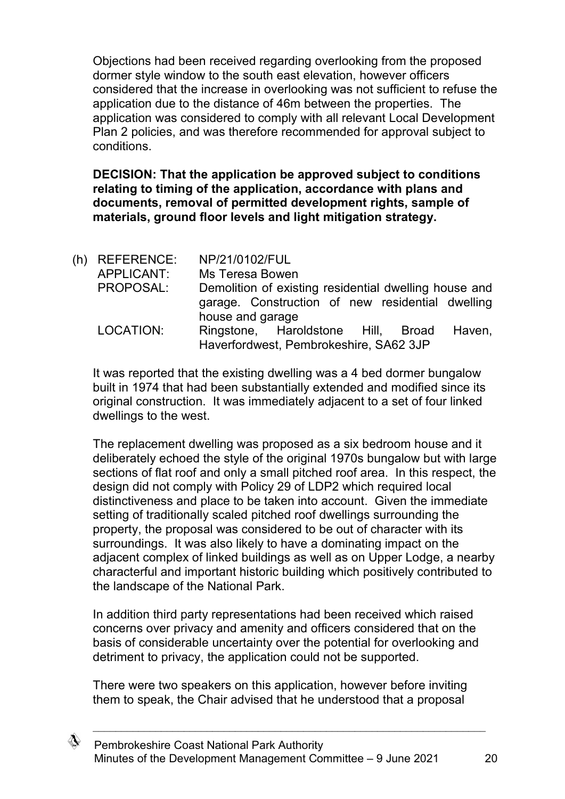Objections had been received regarding overlooking from the proposed dormer style window to the south east elevation, however officers considered that the increase in overlooking was not sufficient to refuse the application due to the distance of 46m between the properties. The application was considered to comply with all relevant Local Development Plan 2 policies, and was therefore recommended for approval subject to conditions.

**DECISION: That the application be approved subject to conditions relating to timing of the application, accordance with plans and documents, removal of permitted development rights, sample of materials, ground floor levels and light mitigation strategy.**

| (h) REFERENCE:<br>APPLICANT: | NP/21/0102/FUL<br>Ms Teresa Bowen                                                      |
|------------------------------|----------------------------------------------------------------------------------------|
|                              |                                                                                        |
| PROPOSAL:                    | Demolition of existing residential dwelling house and                                  |
|                              | garage. Construction of new residential dwelling<br>house and garage                   |
| LOCATION:                    | Ringstone, Haroldstone Hill, Broad<br>Haven,<br>Haverfordwest, Pembrokeshire, SA62 3JP |
|                              |                                                                                        |

It was reported that the existing dwelling was a 4 bed dormer bungalow built in 1974 that had been substantially extended and modified since its original construction. It was immediately adjacent to a set of four linked dwellings to the west.

The replacement dwelling was proposed as a six bedroom house and it deliberately echoed the style of the original 1970s bungalow but with large sections of flat roof and only a small pitched roof area. In this respect, the design did not comply with Policy 29 of LDP2 which required local distinctiveness and place to be taken into account. Given the immediate setting of traditionally scaled pitched roof dwellings surrounding the property, the proposal was considered to be out of character with its surroundings. It was also likely to have a dominating impact on the adjacent complex of linked buildings as well as on Upper Lodge, a nearby characterful and important historic building which positively contributed to the landscape of the National Park.

In addition third party representations had been received which raised concerns over privacy and amenity and officers considered that on the basis of considerable uncertainty over the potential for overlooking and detriment to privacy, the application could not be supported.

There were two speakers on this application, however before inviting them to speak, the Chair advised that he understood that a proposal

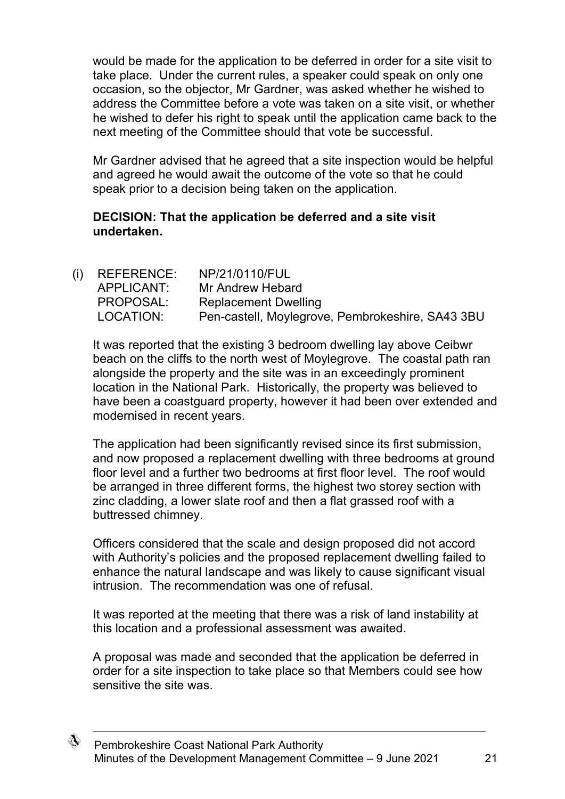would be made for the application to be deferred in order for a site visit to take place. Under the current rules, a speaker could speak on only one occasion, so the objector, Mr Gardner, was asked whether he wished to address the Committee before a vote was taken on a site visit, or whether he wished to defer his right to speak until the application came back to the next meeting of the Committee should that vote be successful.

Mr Gardner advised that he agreed that a site inspection would be helpful and agreed he would await the outcome of the vote so that he could speak prior to a decision being taken on the application.

## **DECISION: That the application be deferred and a site visit undertaken.**

| $(i)$ REFERENCE: | NP/21/0110/FUL                                   |
|------------------|--------------------------------------------------|
| APPLICANT:       | Mr Andrew Hebard                                 |
| PROPOSAL:        | <b>Replacement Dwelling</b>                      |
| LOCATION:        | Pen-castell, Moylegrove, Pembrokeshire, SA43 3BU |
|                  |                                                  |

It was reported that the existing 3 bedroom dwelling lay above Ceibwr beach on the cliffs to the north west of Moylegrove. The coastal path ran alongside the property and the site was in an exceedingly prominent location in the National Park. Historically, the property was believed to have been a coastguard property, however it had been over extended and modernised in recent years.

The application had been significantly revised since its first submission. and now proposed a replacement dwelling with three bedrooms at ground floor level and a further two bedrooms at first floor level. The roof would be arranged in three different forms, the highest two storey section with zinc cladding, a lower slate roof and then a flat grassed roof with a buttressed chimney.

Officers considered that the scale and design proposed did not accord with Authority's policies and the proposed replacement dwelling failed to enhance the natural landscape and was likely to cause significant visual intrusion. The recommendation was one of refusal.

It was reported at the meeting that there was a risk of land instability at this location and a professional assessment was awaited.

A proposal was made and seconded that the application be deferred in order for a site inspection to take place so that Members could see how sensitive the site was.

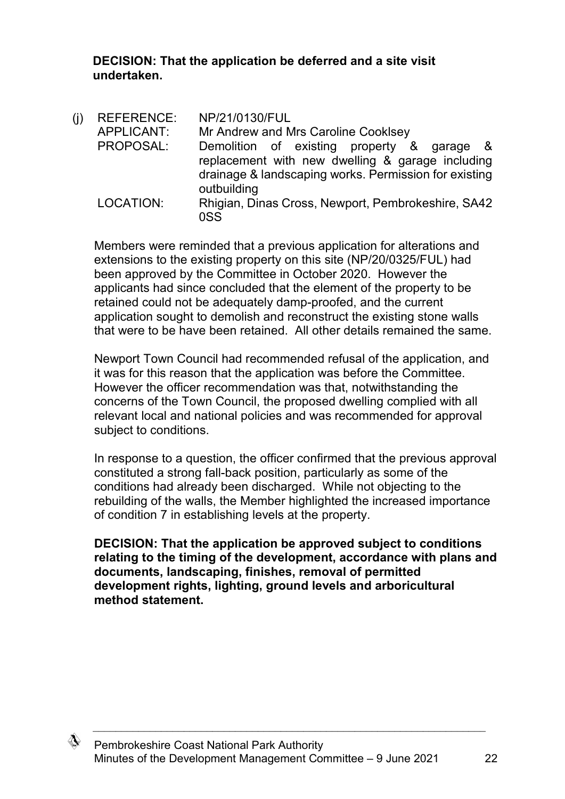**DECISION: That the application be deferred and a site visit undertaken.**

(j) REFERENCE: NP/21/0130/FUL APPLICANT: Mr Andrew and Mrs Caroline Cooklsey PROPOSAL: Demolition of existing property & garage & replacement with new dwelling & garage including drainage & landscaping works. Permission for existing outbuilding LOCATION: Rhigian, Dinas Cross, Newport, Pembrokeshire, SA42 0SS

Members were reminded that a previous application for alterations and extensions to the existing property on this site (NP/20/0325/FUL) had been approved by the Committee in October 2020. However the applicants had since concluded that the element of the property to be retained could not be adequately damp-proofed, and the current application sought to demolish and reconstruct the existing stone walls that were to be have been retained. All other details remained the same.

Newport Town Council had recommended refusal of the application, and it was for this reason that the application was before the Committee. However the officer recommendation was that, notwithstanding the concerns of the Town Council, the proposed dwelling complied with all relevant local and national policies and was recommended for approval subject to conditions.

In response to a question, the officer confirmed that the previous approval constituted a strong fall-back position, particularly as some of the conditions had already been discharged. While not objecting to the rebuilding of the walls, the Member highlighted the increased importance of condition 7 in establishing levels at the property.

**DECISION: That the application be approved subject to conditions relating to the timing of the development, accordance with plans and documents, landscaping, finishes, removal of permitted development rights, lighting, ground levels and arboricultural method statement.**

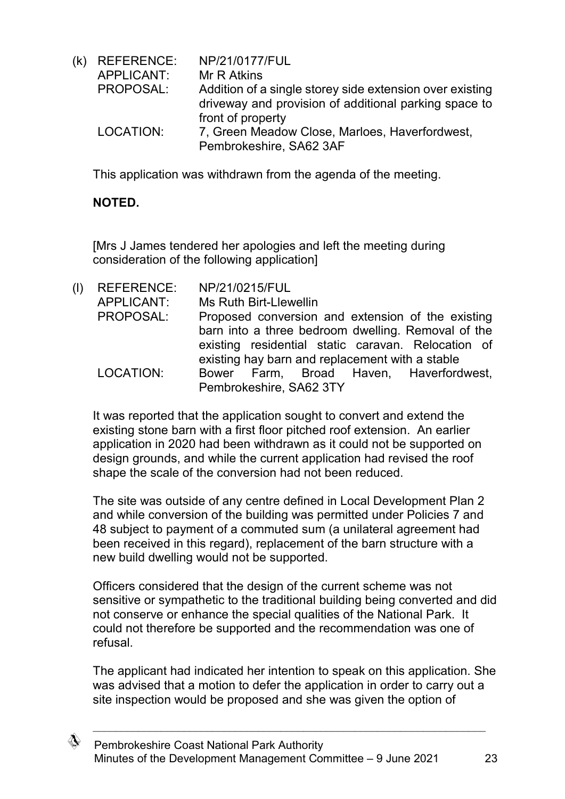(k) REFERENCE: NP/21/0177/FUL APPLICANT: Mr R Atkins PROPOSAL: Addition of a single storey side extension over existing driveway and provision of additional parking space to front of property LOCATION: 7, Green Meadow Close, Marloes, Haverfordwest, Pembrokeshire, SA62 3AF

This application was withdrawn from the agenda of the meeting.

## **NOTED.**

[Mrs J James tendered her apologies and left the meeting during consideration of the following application]

(l) REFERENCE: NP/21/0215/FUL APPLICANT: Ms Ruth Birt-Llewellin PROPOSAL: Proposed conversion and extension of the existing barn into a three bedroom dwelling. Removal of the existing residential static caravan. Relocation of existing hay barn and replacement with a stable LOCATION: Bower Farm, Broad Haven, Haverfordwest, Pembrokeshire, SA62 3TY

It was reported that the application sought to convert and extend the existing stone barn with a first floor pitched roof extension. An earlier application in 2020 had been withdrawn as it could not be supported on design grounds, and while the current application had revised the roof shape the scale of the conversion had not been reduced.

The site was outside of any centre defined in Local Development Plan 2 and while conversion of the building was permitted under Policies 7 and 48 subject to payment of a commuted sum (a unilateral agreement had been received in this regard), replacement of the barn structure with a new build dwelling would not be supported.

Officers considered that the design of the current scheme was not sensitive or sympathetic to the traditional building being converted and did not conserve or enhance the special qualities of the National Park. It could not therefore be supported and the recommendation was one of refusal.

The applicant had indicated her intention to speak on this application. She was advised that a motion to defer the application in order to carry out a site inspection would be proposed and she was given the option of